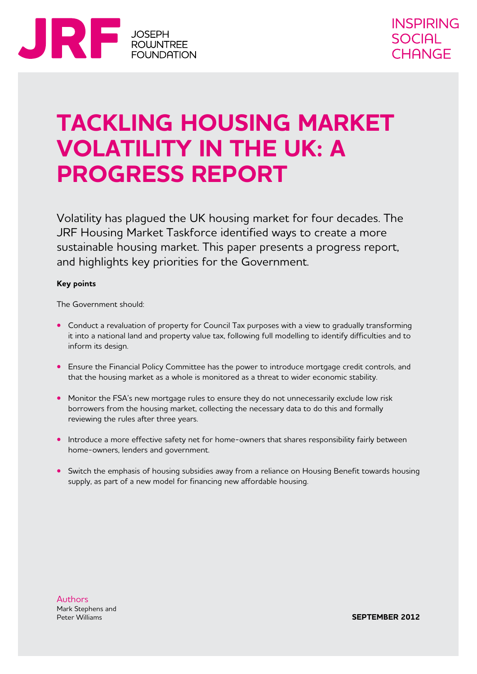

## **Tackling housing market volatility in the UK: a progress report**

Volatility has plagued the UK housing market for four decades. The JRF Housing Market Taskforce identified ways to create a more sustainable housing market. This paper presents a progress report, and highlights key priorities for the Government.

#### **Key points**

The Government should:

- **•** Conduct a revaluation of property for Council Tax purposes with a view to gradually transforming it into a national land and property value tax, following full modelling to identify difficulties and to inform its design.
- **•** Ensure the Financial Policy Committee has the power to introduce mortgage credit controls, and that the housing market as a whole is monitored as a threat to wider economic stability.
- Monitor the FSA's new mortgage rules to ensure they do not unnecessarily exclude low risk borrowers from the housing market, collecting the necessary data to do this and formally reviewing the rules after three years.
- Introduce a more effective safety net for home-owners that shares responsibility fairly between home-owners, lenders and government.
- Switch the emphasis of housing subsidies away from a reliance on Housing Benefit towards housing supply, as part of a new model for financing new affordable housing.

**Authors** Mark Stephens and Peter Williams

**september 2012**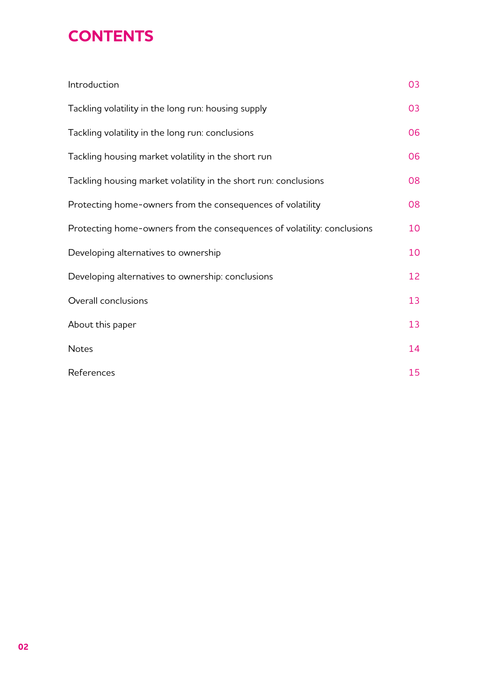## **Contents**

| Introduction                                                            | 03 |
|-------------------------------------------------------------------------|----|
| Tackling volatility in the long run: housing supply                     | 03 |
| Tackling volatility in the long run: conclusions                        | 06 |
| Tackling housing market volatility in the short run                     | 06 |
| Tackling housing market volatility in the short run: conclusions        | 08 |
| Protecting home-owners from the consequences of volatility              | 08 |
| Protecting home-owners from the consequences of volatility: conclusions | 10 |
| Developing alternatives to ownership                                    | 10 |
| Developing alternatives to ownership: conclusions                       | 12 |
| Overall conclusions                                                     | 13 |
| About this paper                                                        | 13 |
| <b>Notes</b>                                                            | 14 |
| References                                                              | 15 |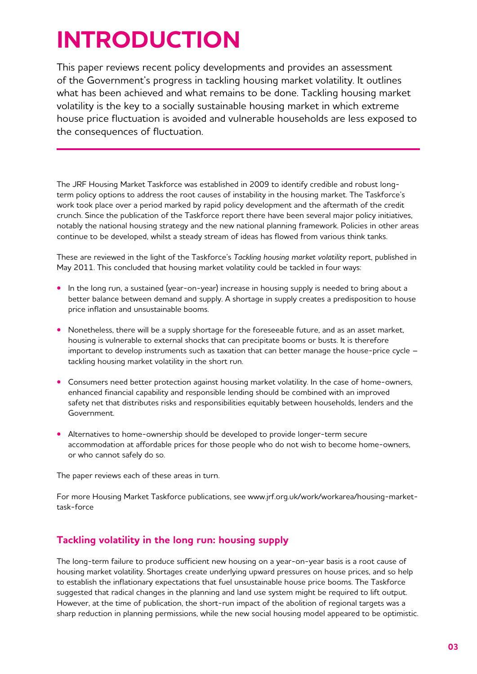# **Introduction**

This paper reviews recent policy developments and provides an assessment of the Government's progress in tackling housing market volatility. It outlines what has been achieved and what remains to be done. Tackling housing market volatility is the key to a socially sustainable housing market in which extreme house price fluctuation is avoided and vulnerable households are less exposed to the consequences of fluctuation.

The JRF Housing Market Taskforce was established in 2009 to identify credible and robust longterm policy options to address the root causes of instability in the housing market. The Taskforce's work took place over a period marked by rapid policy development and the aftermath of the credit crunch. Since the publication of the Taskforce report there have been several major policy initiatives, notably the national housing strategy and the new national planning framework. Policies in other areas continue to be developed, whilst a steady stream of ideas has flowed from various think tanks.

These are reviewed in the light of the Taskforce's *Tackling housing market volatility* report, published in May 2011. This concluded that housing market volatility could be tackled in four ways:

- In the long run, a sustained (year-on-year) increase in housing supply is needed to bring about a better balance between demand and supply. A shortage in supply creates a predisposition to house price inflation and unsustainable booms.
- Nonetheless, there will be a supply shortage for the foreseeable future, and as an asset market, housing is vulnerable to external shocks that can precipitate booms or busts. It is therefore important to develop instruments such as taxation that can better manage the house-price cycle – tackling housing market volatility in the short run.
- Consumers need better protection against housing market volatility. In the case of home-owners, enhanced financial capability and responsible lending should be combined with an improved safety net that distributes risks and responsibilities equitably between households, lenders and the Government.
- **•** Alternatives to home-ownership should be developed to provide longer-term secure accommodation at affordable prices for those people who do not wish to become home-owners, or who cannot safely do so.

The paper reviews each of these areas in turn.

For more Housing Market Taskforce publications, see www.jrf.org.uk/work/workarea/housing-markettask-force

## **Tackling volatility in the long run: housing supply**

The long-term failure to produce sufficient new housing on a year-on-year basis is a root cause of housing market volatility. Shortages create underlying upward pressures on house prices, and so help to establish the inflationary expectations that fuel unsustainable house price booms. The Taskforce suggested that radical changes in the planning and land use system might be required to lift output. However, at the time of publication, the short-run impact of the abolition of regional targets was a sharp reduction in planning permissions, while the new social housing model appeared to be optimistic.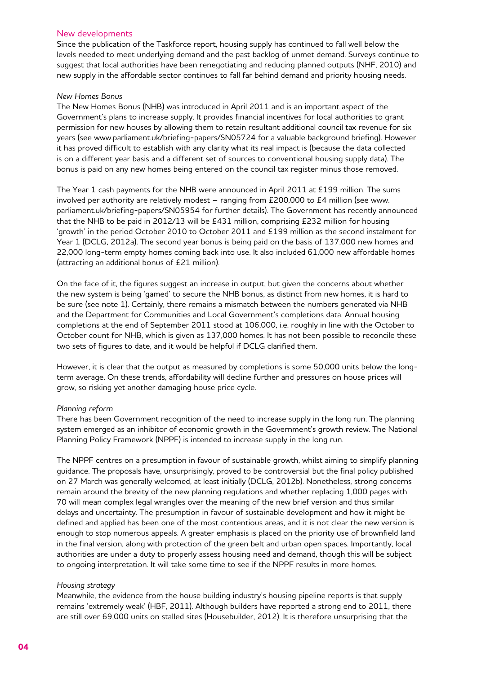#### New developments

Since the publication of the Taskforce report, housing supply has continued to fall well below the levels needed to meet underlying demand and the past backlog of unmet demand. Surveys continue to suggest that local authorities have been renegotiating and reducing planned outputs (NHF, 2010) and new supply in the affordable sector continues to fall far behind demand and priority housing needs.

#### *New Homes Bonus*

The New Homes Bonus (NHB) was introduced in April 2011 and is an important aspect of the Government's plans to increase supply. It provides financial incentives for local authorities to grant permission for new houses by allowing them to retain resultant additional council tax revenue for six years (see www.parliament.uk/briefing-papers/SN05724 for a valuable background briefing). However it has proved difficult to establish with any clarity what its real impact is (because the data collected is on a different year basis and a different set of sources to conventional housing supply data). The bonus is paid on any new homes being entered on the council tax register minus those removed.

The Year 1 cash payments for the NHB were announced in April 2011 at £199 million. The sums involved per authority are relatively modest – ranging from £200,000 to £4 million (see www. parliament.uk/briefing-papers/SN05954 for further details). The Government has recently announced that the NHB to be paid in 2012/13 will be £431 million, comprising £232 million for housing 'growth' in the period October 2010 to October 2011 and £199 million as the second instalment for Year 1 (DCLG, 2012a). The second year bonus is being paid on the basis of 137,000 new homes and 22,000 long-term empty homes coming back into use. It also included 61,000 new affordable homes (attracting an additional bonus of £21 million).

On the face of it, the figures suggest an increase in output, but given the concerns about whether the new system is being 'gamed' to secure the NHB bonus, as distinct from new homes, it is hard to be sure (see note 1). Certainly, there remains a mismatch between the numbers generated via NHB and the Department for Communities and Local Government's completions data. Annual housing completions at the end of September 2011 stood at 106,000, i.e. roughly in line with the October to October count for NHB, which is given as 137,000 homes. It has not been possible to reconcile these two sets of figures to date, and it would be helpful if DCLG clarified them.

However, it is clear that the output as measured by completions is some 50,000 units below the longterm average. On these trends, affordability will decline further and pressures on house prices will grow, so risking yet another damaging house price cycle.

#### *Planning reform*

There has been Government recognition of the need to increase supply in the long run. The planning system emerged as an inhibitor of economic growth in the Government's growth review. The National Planning Policy Framework (NPPF) is intended to increase supply in the long run.

The NPPF centres on a presumption in favour of sustainable growth, whilst aiming to simplify planning guidance. The proposals have, unsurprisingly, proved to be controversial but the final policy published on 27 March was generally welcomed, at least initially (DCLG, 2012b). Nonetheless, strong concerns remain around the brevity of the new planning regulations and whether replacing 1,000 pages with 70 will mean complex legal wrangles over the meaning of the new brief version and thus similar delays and uncertainty. The presumption in favour of sustainable development and how it might be defined and applied has been one of the most contentious areas, and it is not clear the new version is enough to stop numerous appeals. A greater emphasis is placed on the priority use of brownfield land in the final version, along with protection of the green belt and urban open spaces. Importantly, local authorities are under a duty to properly assess housing need and demand, though this will be subject to ongoing interpretation. It will take some time to see if the NPPF results in more homes.

#### *Housing strategy*

Meanwhile, the evidence from the house building industry's housing pipeline reports is that supply remains 'extremely weak' (HBF, 2011). Although builders have reported a strong end to 2011, there are still over 69,000 units on stalled sites (Housebuilder, 2012). It is therefore unsurprising that the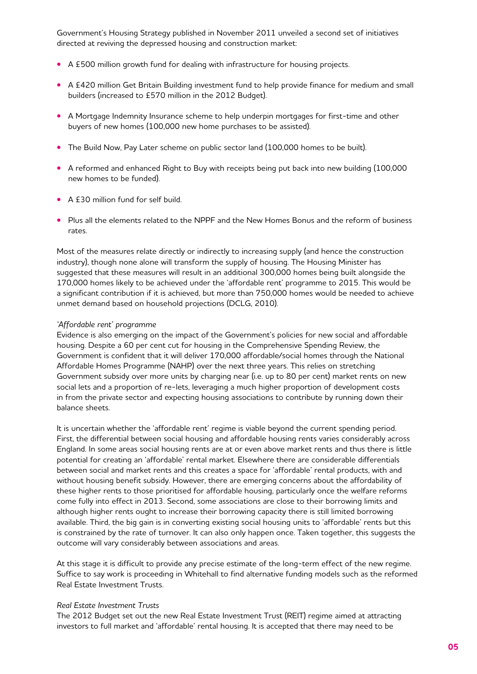Government's Housing Strategy published in November 2011 unveiled a second set of initiatives directed at reviving the depressed housing and construction market:

- **•**  A £500 million growth fund for dealing with infrastructure for housing projects.
- **•**  A £420 million Get Britain Building investment fund to help provide finance for medium and small builders (increased to £570 million in the 2012 Budget).
- **•**  A Mortgage Indemnity Insurance scheme to help underpin mortgages for first-time and other buyers of new homes (100,000 new home purchases to be assisted).
- The Build Now, Pay Later scheme on public sector land (100,000 homes to be built).
- **•**  A reformed and enhanced Right to Buy with receipts being put back into new building (100,000 new homes to be funded).
- **•**  A £30 million fund for self build.
- **•**  Plus all the elements related to the NPPF and the New Homes Bonus and the reform of business rates.

Most of the measures relate directly or indirectly to increasing supply (and hence the construction industry), though none alone will transform the supply of housing. The Housing Minister has suggested that these measures will result in an additional 300,000 homes being built alongside the 170,000 homes likely to be achieved under the 'affordable rent' programme to 2015. This would be a significant contribution if it is achieved, but more than 750,000 homes would be needed to achieve unmet demand based on household projections (DCLG, 2010).

#### *'Affordable rent' programme*

Evidence is also emerging on the impact of the Government's policies for new social and affordable housing. Despite a 60 per cent cut for housing in the Comprehensive Spending Review, the Government is confident that it will deliver 170,000 affordable/social homes through the National Affordable Homes Programme (NAHP) over the next three years. This relies on stretching Government subsidy over more units by charging near (i.e. up to 80 per cent) market rents on new social lets and a proportion of re-lets, leveraging a much higher proportion of development costs in from the private sector and expecting housing associations to contribute by running down their balance sheets.

It is uncertain whether the 'affordable rent' regime is viable beyond the current spending period. First, the differential between social housing and affordable housing rents varies considerably across England. In some areas social housing rents are at or even above market rents and thus there is little potential for creating an 'affordable' rental market. Elsewhere there are considerable differentials between social and market rents and this creates a space for 'affordable' rental products, with and without housing benefit subsidy. However, there are emerging concerns about the affordability of these higher rents to those prioritised for affordable housing, particularly once the welfare reforms come fully into effect in 2013. Second, some associations are close to their borrowing limits and although higher rents ought to increase their borrowing capacity there is still limited borrowing available. Third, the big gain is in converting existing social housing units to 'affordable' rents but this is constrained by the rate of turnover. It can also only happen once. Taken together, this suggests the outcome will vary considerably between associations and areas.

At this stage it is difficult to provide any precise estimate of the long-term effect of the new regime. Suffice to say work is proceeding in Whitehall to find alternative funding models such as the reformed Real Estate Investment Trusts.

#### *Real Estate Investment Trusts*

The 2012 Budget set out the new Real Estate Investment Trust (REIT) regime aimed at attracting investors to full market and 'affordable' rental housing. It is accepted that there may need to be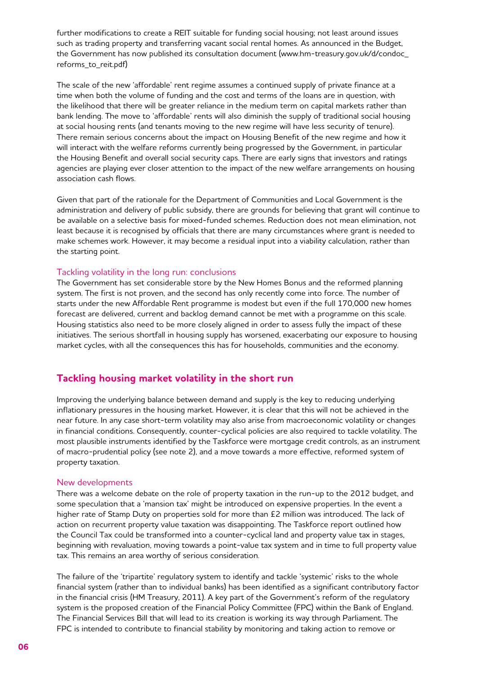further modifications to create a REIT suitable for funding social housing; not least around issues such as trading property and transferring vacant social rental homes. As announced in the Budget, the Government has now published its consultation document (www.hm-treasury.gov.uk/d/condoc\_ reforms\_to\_reit.pdf)

The scale of the new 'affordable' rent regime assumes a continued supply of private finance at a time when both the volume of funding and the cost and terms of the loans are in question, with the likelihood that there will be greater reliance in the medium term on capital markets rather than bank lending. The move to 'affordable' rents will also diminish the supply of traditional social housing at social housing rents (and tenants moving to the new regime will have less security of tenure). There remain serious concerns about the impact on Housing Benefit of the new regime and how it will interact with the welfare reforms currently being progressed by the Government, in particular the Housing Benefit and overall social security caps. There are early signs that investors and ratings agencies are playing ever closer attention to the impact of the new welfare arrangements on housing association cash flows.

Given that part of the rationale for the Department of Communities and Local Government is the administration and delivery of public subsidy, there are grounds for believing that grant will continue to be available on a selective basis for mixed-funded schemes. Reduction does not mean elimination, not least because it is recognised by officials that there are many circumstances where grant is needed to make schemes work. However, it may become a residual input into a viability calculation, rather than the starting point.

#### Tackling volatility in the long run: conclusions

The Government has set considerable store by the New Homes Bonus and the reformed planning system. The first is not proven, and the second has only recently come into force. The number of starts under the new Affordable Rent programme is modest but even if the full 170,000 new homes forecast are delivered, current and backlog demand cannot be met with a programme on this scale. Housing statistics also need to be more closely aligned in order to assess fully the impact of these initiatives. The serious shortfall in housing supply has worsened, exacerbating our exposure to housing market cycles, with all the consequences this has for households, communities and the economy.

#### **Tackling housing market volatility in the short run**

Improving the underlying balance between demand and supply is the key to reducing underlying inflationary pressures in the housing market. However, it is clear that this will not be achieved in the near future. In any case short-term volatility may also arise from macroeconomic volatility or changes in financial conditions. Consequently, counter-cyclical policies are also required to tackle volatility. The most plausible instruments identified by the Taskforce were mortgage credit controls, as an instrument of macro-prudential policy (see note 2), and a move towards a more effective, reformed system of property taxation.

#### New developments

There was a welcome debate on the role of property taxation in the run-up to the 2012 budget, and some speculation that a 'mansion tax' might be introduced on expensive properties. In the event a higher rate of Stamp Duty on properties sold for more than £2 million was introduced. The lack of action on recurrent property value taxation was disappointing. The Taskforce report outlined how the Council Tax could be transformed into a counter-cyclical land and property value tax in stages, beginning with revaluation, moving towards a point-value tax system and in time to full property value tax. This remains an area worthy of serious consideration.

The failure of the 'tripartite' regulatory system to identify and tackle 'systemic' risks to the whole financial system (rather than to individual banks) has been identified as a significant contributory factor in the financial crisis (HM Treasury, 2011). A key part of the Government's reform of the regulatory system is the proposed creation of the Financial Policy Committee (FPC) within the Bank of England. The Financial Services Bill that will lead to its creation is working its way through Parliament. The FPC is intended to contribute to financial stability by monitoring and taking action to remove or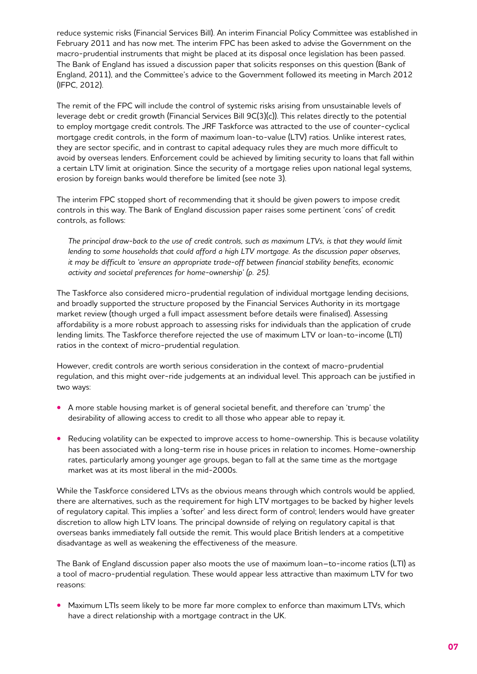reduce systemic risks (Financial Services Bill). An interim Financial Policy Committee was established in February 2011 and has now met. The interim FPC has been asked to advise the Government on the macro-prudential instruments that might be placed at its disposal once legislation has been passed. The Bank of England has issued a discussion paper that solicits responses on this question (Bank of England, 2011), and the Committee's advice to the Government followed its meeting in March 2012 (IFPC, 2012).

The remit of the FPC will include the control of systemic risks arising from unsustainable levels of leverage debt or credit growth (Financial Services Bill 9C(3)(c)). This relates directly to the potential to employ mortgage credit controls. The JRF Taskforce was attracted to the use of counter-cyclical mortgage credit controls, in the form of maximum loan-to-value (LTV) ratios. Unlike interest rates, they are sector specific, and in contrast to capital adequacy rules they are much more difficult to avoid by overseas lenders. Enforcement could be achieved by limiting security to loans that fall within a certain LTV limit at origination. Since the security of a mortgage relies upon national legal systems, erosion by foreign banks would therefore be limited (see note 3).

The interim FPC stopped short of recommending that it should be given powers to impose credit controls in this way. The Bank of England discussion paper raises some pertinent 'cons' of credit controls, as follows:

The principal draw-back to the use of credit controls, such as maximum LTVs, is that they would limit lending to some households that could afford a high LTV mortgage. As the discussion paper observes, *it may be difficult to 'ensure an appropriate trade-off between financial stability benefits, economic activity and societal preferences for home-ownership' (p. 25).* 

The Taskforce also considered micro-prudential regulation of individual mortgage lending decisions, and broadly supported the structure proposed by the Financial Services Authority in its mortgage market review (though urged a full impact assessment before details were finalised). Assessing affordability is a more robust approach to assessing risks for individuals than the application of crude lending limits. The Taskforce therefore rejected the use of maximum LTV or loan-to-income (LTI) ratios in the context of micro-prudential regulation.

However, credit controls are worth serious consideration in the context of macro-prudential regulation, and this might over-ride judgements at an individual level. This approach can be justified in two ways:

- **•**  A more stable housing market is of general societal benefit, and therefore can 'trump' the desirability of allowing access to credit to all those who appear able to repay it.
- Reducing volatility can be expected to improve access to home-ownership. This is because volatility has been associated with a long-term rise in house prices in relation to incomes. Home-ownership rates, particularly among younger age groups, began to fall at the same time as the mortgage market was at its most liberal in the mid-2000s.

While the Taskforce considered LTVs as the obvious means through which controls would be applied, there are alternatives, such as the requirement for high LTV mortgages to be backed by higher levels of regulatory capital. This implies a 'softer' and less direct form of control; lenders would have greater discretion to allow high LTV loans. The principal downside of relying on regulatory capital is that overseas banks immediately fall outside the remit. This would place British lenders at a competitive disadvantage as well as weakening the effectiveness of the measure.

The Bank of England discussion paper also moots the use of maximum loan–to-income ratios (LTI) as a tool of macro-prudential regulation. These would appear less attractive than maximum LTV for two reasons:

**•**  Maximum LTIs seem likely to be more far more complex to enforce than maximum LTVs, which have a direct relationship with a mortgage contract in the UK.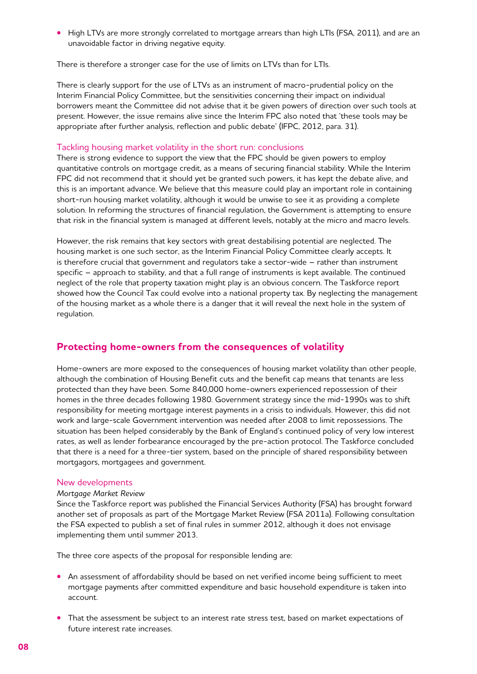**•**  High LTVs are more strongly correlated to mortgage arrears than high LTIs (FSA, 2011), and are an unavoidable factor in driving negative equity.

There is therefore a stronger case for the use of limits on LTVs than for LTIs.

There is clearly support for the use of LTVs as an instrument of macro-prudential policy on the Interim Financial Policy Committee, but the sensitivities concerning their impact on individual borrowers meant the Committee did not advise that it be given powers of direction over such tools at present. However, the issue remains alive since the Interim FPC also noted that 'these tools may be appropriate after further analysis, reflection and public debate' (IFPC, 2012, para. 31).

#### Tackling housing market volatility in the short run: conclusions

There is strong evidence to support the view that the FPC should be given powers to employ quantitative controls on mortgage credit, as a means of securing financial stability. While the Interim FPC did not recommend that it should yet be granted such powers, it has kept the debate alive, and this is an important advance. We believe that this measure could play an important role in containing short-run housing market volatility, although it would be unwise to see it as providing a complete solution. In reforming the structures of financial regulation, the Government is attempting to ensure that risk in the financial system is managed at different levels, notably at the micro and macro levels.

However, the risk remains that key sectors with great destabilising potential are neglected. The housing market is one such sector, as the Interim Financial Policy Committee clearly accepts. It is therefore crucial that government and regulators take a sector-wide – rather than instrument specific – approach to stability, and that a full range of instruments is kept available. The continued neglect of the role that property taxation might play is an obvious concern. The Taskforce report showed how the Council Tax could evolve into a national property tax. By neglecting the management of the housing market as a whole there is a danger that it will reveal the next hole in the system of regulation.

### **Protecting home-owners from the consequences of volatility**

Home-owners are more exposed to the consequences of housing market volatility than other people, although the combination of Housing Benefit cuts and the benefit cap means that tenants are less protected than they have been. Some 840,000 home-owners experienced repossession of their homes in the three decades following 1980. Government strategy since the mid-1990s was to shift responsibility for meeting mortgage interest payments in a crisis to individuals. However, this did not work and large-scale Government intervention was needed after 2008 to limit repossessions. The situation has been helped considerably by the Bank of England's continued policy of very low interest rates, as well as lender forbearance encouraged by the pre-action protocol. The Taskforce concluded that there is a need for a three-tier system, based on the principle of shared responsibility between mortgagors, mortgagees and government.

#### New developments

#### *Mortgage Market Review*

Since the Taskforce report was published the Financial Services Authority (FSA) has brought forward another set of proposals as part of the Mortgage Market Review (FSA 2011a). Following consultation the FSA expected to publish a set of final rules in summer 2012, although it does not envisage implementing them until summer 2013.

The three core aspects of the proposal for responsible lending are:

- **•** An assessment of affordability should be based on net verified income being sufficient to meet mortgage payments after committed expenditure and basic household expenditure is taken into account.
- That the assessment be subject to an interest rate stress test, based on market expectations of future interest rate increases.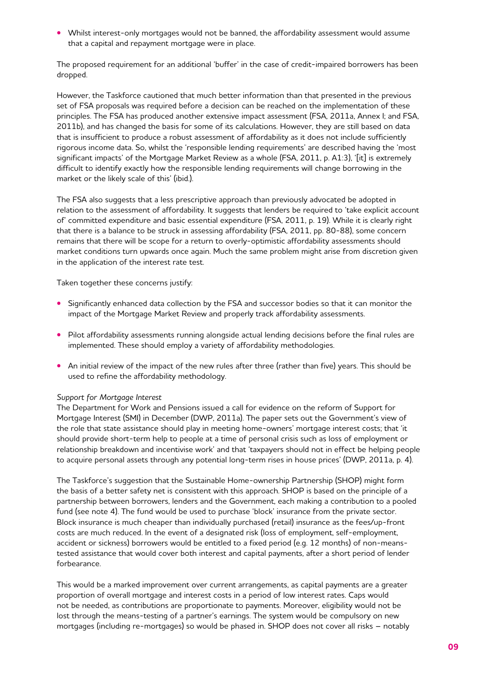• Whilst interest-only mortgages would not be banned, the affordability assessment would assume that a capital and repayment mortgage were in place.

The proposed requirement for an additional 'buffer' in the case of credit-impaired borrowers has been dropped.

However, the Taskforce cautioned that much better information than that presented in the previous set of FSA proposals was required before a decision can be reached on the implementation of these principles. The FSA has produced another extensive impact assessment (FSA, 2011a, Annex I; and FSA, 2011b), and has changed the basis for some of its calculations. However, they are still based on data that is insufficient to produce a robust assessment of affordability as it does not include sufficiently rigorous income data. So, whilst the 'responsible lending requirements' are described having the 'most significant impacts' of the Mortgage Market Review as a whole (FSA, 2011, p. A1:3), '[it] is extremely difficult to identify exactly how the responsible lending requirements will change borrowing in the market or the likely scale of this' (ibid.).

The FSA also suggests that a less prescriptive approach than previously advocated be adopted in relation to the assessment of affordability. It suggests that lenders be required to 'take explicit account of' committed expenditure and basic essential expenditure (FSA, 2011, p. 19). While it is clearly right that there is a balance to be struck in assessing affordability (FSA, 2011, pp. 80-88), some concern remains that there will be scope for a return to overly-optimistic affordability assessments should market conditions turn upwards once again. Much the same problem might arise from discretion given in the application of the interest rate test.

Taken together these concerns justify:

- **•**  Significantly enhanced data collection by the FSA and successor bodies so that it can monitor the impact of the Mortgage Market Review and properly track affordability assessments.
- **•**  Pilot affordability assessments running alongside actual lending decisions before the final rules are implemented. These should employ a variety of affordability methodologies.
- An initial review of the impact of the new rules after three (rather than five) years. This should be used to refine the affordability methodology.

#### *Support for Mortgage Interest*

The Department for Work and Pensions issued a call for evidence on the reform of Support for Mortgage Interest (SMI) in December (DWP, 2011a). The paper sets out the Government's view of the role that state assistance should play in meeting home-owners' mortgage interest costs; that 'it should provide short-term help to people at a time of personal crisis such as loss of employment or relationship breakdown and incentivise work' and that 'taxpayers should not in effect be helping people to acquire personal assets through any potential long-term rises in house prices' (DWP, 2011a, p. 4).

The Taskforce's suggestion that the Sustainable Home-ownership Partnership (SHOP) might form the basis of a better safety net is consistent with this approach. SHOP is based on the principle of a partnership between borrowers, lenders and the Government, each making a contribution to a pooled fund (see note 4). The fund would be used to purchase 'block' insurance from the private sector. Block insurance is much cheaper than individually purchased (retail) insurance as the fees/up-front costs are much reduced. In the event of a designated risk (loss of employment, self-employment, accident or sickness) borrowers would be entitled to a fixed period (e.g. 12 months) of non-meanstested assistance that would cover both interest and capital payments, after a short period of lender forbearance.

This would be a marked improvement over current arrangements, as capital payments are a greater proportion of overall mortgage and interest costs in a period of low interest rates. Caps would not be needed, as contributions are proportionate to payments. Moreover, eligibility would not be lost through the means-testing of a partner's earnings. The system would be compulsory on new mortgages (including re-mortgages) so would be phased in. SHOP does not cover all risks – notably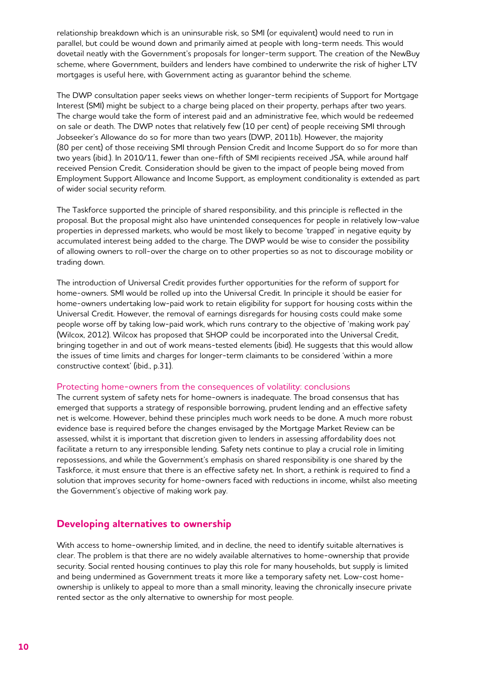relationship breakdown which is an uninsurable risk, so SMI (or equivalent) would need to run in parallel, but could be wound down and primarily aimed at people with long-term needs. This would dovetail neatly with the Government's proposals for longer-term support. The creation of the NewBuy scheme, where Government, builders and lenders have combined to underwrite the risk of higher LTV mortgages is useful here, with Government acting as guarantor behind the scheme.

The DWP consultation paper seeks views on whether longer-term recipients of Support for Mortgage Interest (SMI) might be subject to a charge being placed on their property, perhaps after two years. The charge would take the form of interest paid and an administrative fee, which would be redeemed on sale or death. The DWP notes that relatively few (10 per cent) of people receiving SMI through Jobseeker's Allowance do so for more than two years (DWP, 2011b). However, the majority (80 per cent) of those receiving SMI through Pension Credit and Income Support do so for more than two years (ibid.). In 2010/11, fewer than one-fifth of SMI recipients received JSA, while around half received Pension Credit. Consideration should be given to the impact of people being moved from Employment Support Allowance and Income Support, as employment conditionality is extended as part of wider social security reform.

The Taskforce supported the principle of shared responsibility, and this principle is reflected in the proposal. But the proposal might also have unintended consequences for people in relatively low-value properties in depressed markets, who would be most likely to become 'trapped' in negative equity by accumulated interest being added to the charge. The DWP would be wise to consider the possibility of allowing owners to roll-over the charge on to other properties so as not to discourage mobility or trading down.

The introduction of Universal Credit provides further opportunities for the reform of support for home-owners. SMI would be rolled up into the Universal Credit. In principle it should be easier for home-owners undertaking low-paid work to retain eligibility for support for housing costs within the Universal Credit. However, the removal of earnings disregards for housing costs could make some people worse off by taking low-paid work, which runs contrary to the objective of 'making work pay' (Wilcox, 2012). Wilcox has proposed that SHOP could be incorporated into the Universal Credit, bringing together in and out of work means-tested elements (ibid). He suggests that this would allow the issues of time limits and charges for longer-term claimants to be considered 'within a more constructive context' (ibid., p.31).

#### Protecting home-owners from the consequences of volatility: conclusions

The current system of safety nets for home-owners is inadequate. The broad consensus that has emerged that supports a strategy of responsible borrowing, prudent lending and an effective safety net is welcome. However, behind these principles much work needs to be done. A much more robust evidence base is required before the changes envisaged by the Mortgage Market Review can be assessed, whilst it is important that discretion given to lenders in assessing affordability does not facilitate a return to any irresponsible lending. Safety nets continue to play a crucial role in limiting repossessions, and while the Government's emphasis on shared responsibility is one shared by the Taskforce, it must ensure that there is an effective safety net. In short, a rethink is required to find a solution that improves security for home-owners faced with reductions in income, whilst also meeting the Government's objective of making work pay.

#### **Developing alternatives to ownership**

With access to home-ownership limited, and in decline, the need to identify suitable alternatives is clear. The problem is that there are no widely available alternatives to home-ownership that provide security. Social rented housing continues to play this role for many households, but supply is limited and being undermined as Government treats it more like a temporary safety net. Low-cost homeownership is unlikely to appeal to more than a small minority, leaving the chronically insecure private rented sector as the only alternative to ownership for most people.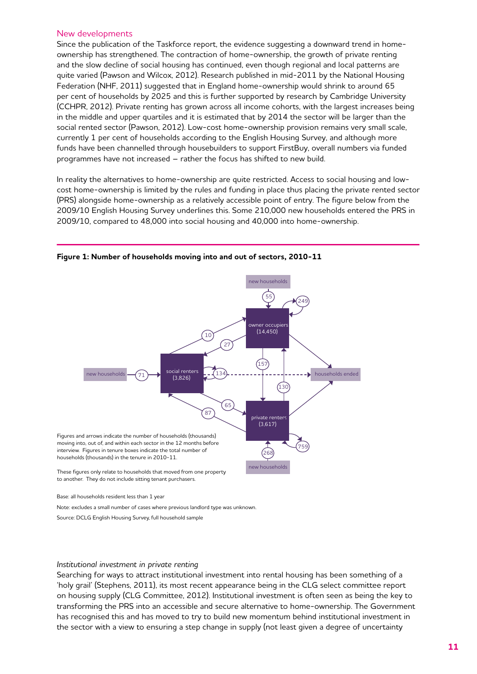#### New developments

Since the publication of the Taskforce report, the evidence suggesting a downward trend in homeownership has strengthened. The contraction of home-ownership, the growth of private renting and the slow decline of social housing has continued, even though regional and local patterns are quite varied (Pawson and Wilcox, 2012). Research published in mid-2011 by the National Housing Federation (NHF, 2011) suggested that in England home-ownership would shrink to around 65 per cent of households by 2025 and this is further supported by research by Cambridge University (CCHPR, 2012). Private renting has grown across all income cohorts, with the largest increases being in the middle and upper quartiles and it is estimated that by 2014 the sector will be larger than the social rented sector (Pawson, 2012). Low-cost home-ownership provision remains very small scale, currently 1 per cent of households according to the English Housing Survey, and although more funds have been channelled through housebuilders to support FirstBuy, overall numbers via funded programmes have not increased – rather the focus has shifted to new build.

In reality the alternatives to home-ownership are quite restricted. Access to social housing and lowcost home-ownership is limited by the rules and funding in place thus placing the private rented sector (PRS) alongside home-ownership as a relatively accessible point of entry. The figure below from the 2009/10 English Housing Survey underlines this. Some 210,000 new households entered the PRS in 2009/10, compared to 48,000 into social housing and 40,000 into home-ownership.



**Figure 1: Number of households moving into and out of sectors, 2010-11**

Base: all households resident less than 1 year

Note: excludes a small number of cases where previous landlord type was unknown.

Source: DCLG English Housing Survey, full household sample

#### *Institutional investment in private renting*

Searching for ways to attract institutional investment into rental housing has been something of a 'holy grail' (Stephens, 2011), its most recent appearance being in the CLG select committee report on housing supply (CLG Committee, 2012). Institutional investment is often seen as being the key to transforming the PRS into an accessible and secure alternative to home-ownership. The Government has recognised this and has moved to try to build new momentum behind institutional investment in the sector with a view to ensuring a step change in supply (not least given a degree of uncertainty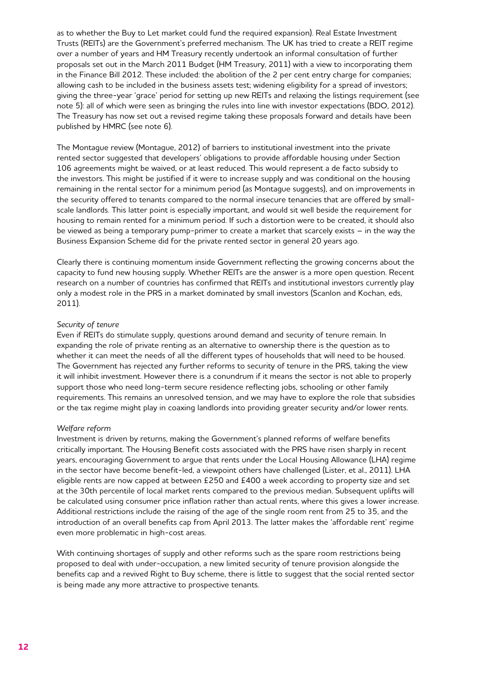as to whether the Buy to Let market could fund the required expansion). Real Estate Investment Trusts (REITs) are the Government's preferred mechanism. The UK has tried to create a REIT regime over a number of years and HM Treasury recently undertook an informal consultation of further proposals set out in the March 2011 Budget (HM Treasury, 2011) with a view to incorporating them in the Finance Bill 2012. These included: the abolition of the 2 per cent entry charge for companies; allowing cash to be included in the business assets test; widening eligibility for a spread of investors; giving the three-year 'grace' period for setting up new REITs and relaxing the listings requirement (see note 5): all of which were seen as bringing the rules into line with investor expectations (BDO, 2012). The Treasury has now set out a revised regime taking these proposals forward and details have been published by HMRC (see note 6).

The Montague review (Montague, 2012) of barriers to institutional investment into the private rented sector suggested that developers' obligations to provide affordable housing under Section 106 agreements might be waived, or at least reduced. This would represent a de facto subsidy to the investors. This might be justified if it were to increase supply and was conditional on the housing remaining in the rental sector for a minimum period (as Montague suggests), and on improvements in the security offered to tenants compared to the normal insecure tenancies that are offered by smallscale landlords. This latter point is especially important, and would sit well beside the requirement for housing to remain rented for a minimum period. If such a distortion were to be created, it should also be viewed as being a temporary pump-primer to create a market that scarcely exists – in the way the Business Expansion Scheme did for the private rented sector in general 20 years ago.

Clearly there is continuing momentum inside Government reflecting the growing concerns about the capacity to fund new housing supply. Whether REITs are the answer is a more open question. Recent research on a number of countries has confirmed that REITs and institutional investors currently play only a modest role in the PRS in a market dominated by small investors (Scanlon and Kochan, eds, 2011).

#### *Security of tenure*

Even if REITs do stimulate supply, questions around demand and security of tenure remain. In expanding the role of private renting as an alternative to ownership there is the question as to whether it can meet the needs of all the different types of households that will need to be housed. The Government has rejected any further reforms to security of tenure in the PRS, taking the view it will inhibit investment. However there is a conundrum if it means the sector is not able to properly support those who need long-term secure residence reflecting jobs, schooling or other family requirements. This remains an unresolved tension, and we may have to explore the role that subsidies or the tax regime might play in coaxing landlords into providing greater security and/or lower rents.

#### *Welfare reform*

Investment is driven by returns, making the Government's planned reforms of welfare benefits critically important. The Housing Benefit costs associated with the PRS have risen sharply in recent years, encouraging Government to argue that rents under the Local Housing Allowance (LHA) regime in the sector have become benefit-led, a viewpoint others have challenged (Lister, et al., 2011). LHA eligible rents are now capped at between £250 and £400 a week according to property size and set at the 30th percentile of local market rents compared to the previous median. Subsequent uplifts will be calculated using consumer price inflation rather than actual rents, where this gives a lower increase. Additional restrictions include the raising of the age of the single room rent from 25 to 35, and the introduction of an overall benefits cap from April 2013. The latter makes the 'affordable rent' regime even more problematic in high-cost areas.

With continuing shortages of supply and other reforms such as the spare room restrictions being proposed to deal with under-occupation, a new limited security of tenure provision alongside the benefits cap and a revived Right to Buy scheme, there is little to suggest that the social rented sector is being made any more attractive to prospective tenants.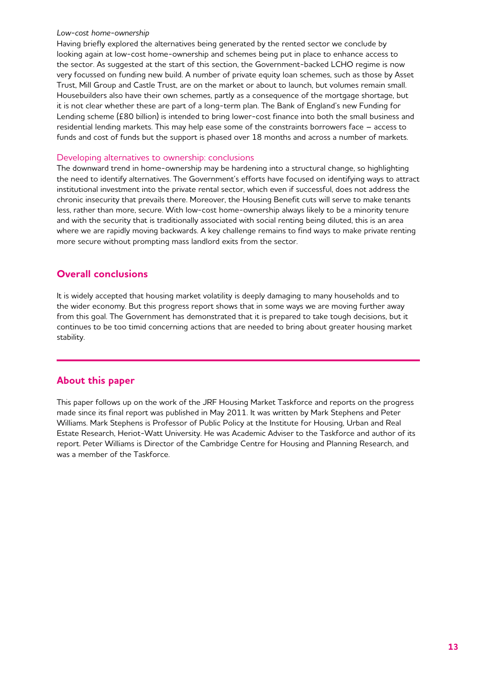#### *Low-cost home-ownership*

Having briefly explored the alternatives being generated by the rented sector we conclude by looking again at low-cost home-ownership and schemes being put in place to enhance access to the sector. As suggested at the start of this section, the Government-backed LCHO regime is now very focussed on funding new build. A number of private equity loan schemes, such as those by Asset Trust, Mill Group and Castle Trust, are on the market or about to launch, but volumes remain small. Housebuilders also have their own schemes, partly as a consequence of the mortgage shortage, but it is not clear whether these are part of a long-term plan. The Bank of England's new Funding for Lending scheme (£80 billion) is intended to bring lower-cost finance into both the small business and residential lending markets. This may help ease some of the constraints borrowers face – access to funds and cost of funds but the support is phased over 18 months and across a number of markets.

#### Developing alternatives to ownership: conclusions

The downward trend in home-ownership may be hardening into a structural change, so highlighting the need to identify alternatives. The Government's efforts have focused on identifying ways to attract institutional investment into the private rental sector, which even if successful, does not address the chronic insecurity that prevails there. Moreover, the Housing Benefit cuts will serve to make tenants less, rather than more, secure. With low-cost home-ownership always likely to be a minority tenure and with the security that is traditionally associated with social renting being diluted, this is an area where we are rapidly moving backwards. A key challenge remains to find ways to make private renting more secure without prompting mass landlord exits from the sector.

## **Overall conclusions**

It is widely accepted that housing market volatility is deeply damaging to many households and to the wider economy. But this progress report shows that in some ways we are moving further away from this goal. The Government has demonstrated that it is prepared to take tough decisions, but it continues to be too timid concerning actions that are needed to bring about greater housing market stability.

## **About this paper**

This paper follows up on the work of the JRF Housing Market Taskforce and reports on the progress made since its final report was published in May 2011. It was written by Mark Stephens and Peter Williams. Mark Stephens is Professor of Public Policy at the Institute for Housing, Urban and Real Estate Research, Heriot-Watt University. He was Academic Adviser to the Taskforce and author of its report. Peter Williams is Director of the Cambridge Centre for Housing and Planning Research, and was a member of the Taskforce.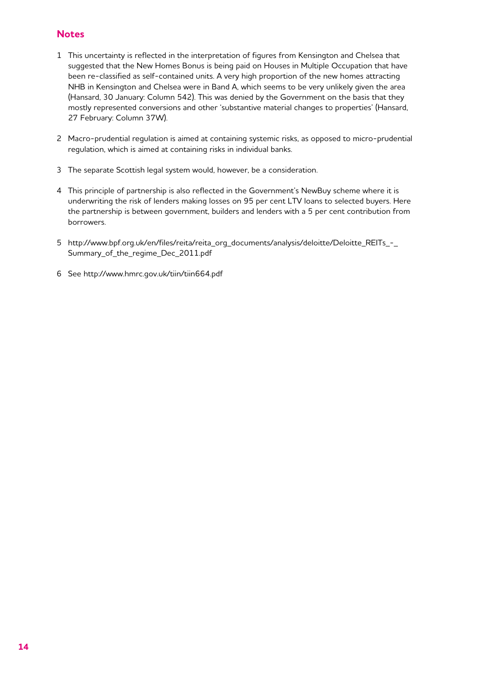## **Notes**

- 1 This uncertainty is reflected in the interpretation of figures from Kensington and Chelsea that suggested that the New Homes Bonus is being paid on Houses in Multiple Occupation that have been re-classified as self-contained units. A very high proportion of the new homes attracting NHB in Kensington and Chelsea were in Band A, which seems to be very unlikely given the area (Hansard, 30 January: Column 542). This was denied by the Government on the basis that they mostly represented conversions and other 'substantive material changes to properties' (Hansard, 27 February: Column 37W).
- 2 Macro-prudential regulation is aimed at containing systemic risks, as opposed to micro-prudential regulation, which is aimed at containing risks in individual banks.
- 3 The separate Scottish legal system would, however, be a consideration.
- 4 This principle of partnership is also reflected in the Government's NewBuy scheme where it is underwriting the risk of lenders making losses on 95 per cent LTV loans to selected buyers. Here the partnership is between government, builders and lenders with a 5 per cent contribution from borrowers.
- 5 http://www.bpf.org.uk/en/files/reita/reita\_org\_documents/analysis/deloitte/Deloitte\_REITs\_-\_ Summary of the regime Dec 2011.pdf
- 6 See http://www.hmrc.gov.uk/tiin/tiin664.pdf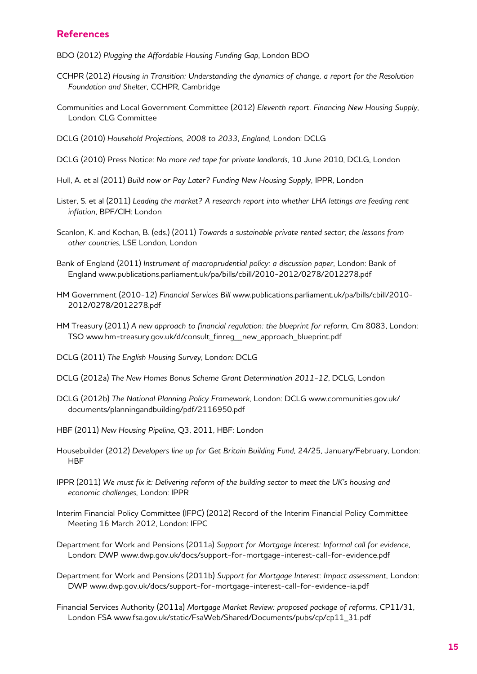## **References**

BDO (2012) *Plugging the Affordable Housing Funding Gap*, London BDO

- CCHPR (2012) *Housing in Transition: Understanding the dynamics of change, a report for the Resolution Foundation and Shelter,* CCHPR, Cambridge
- Communities and Local Government Committee (2012) *Eleventh report. Financing New Housing Supply*, London: CLG Committee
- DCLG (2010) *Household Projections, 2008 to 2033, England,* London: DCLG
- DCLG (2010) Press Notice: *No more red tape for private landlords,* 10 June 2010, DCLG, London
- Hull, A. et al (2011) *Build now or Pay Later? Funding New Housing Supply,* IPPR, London
- Lister, S. et al (2011) *Leading the market? A research report into whether LHA lettings are feeding rent inflation,* BPF/CIH: London
- Scanlon, K. and Kochan, B. (eds.) (2011) *Towards a sustainable private rented sector; the lessons from other countries*, LSE London, London
- Bank of England (2011) *Instrument of macroprudential policy: a discussion paper*, London: Bank of England www.publications.parliament.uk/pa/bills/cbill/2010-2012/0278/2012278.pdf
- HM Government (2010-12) *Financial Services Bill* www.publications.parliament.uk/pa/bills/cbill/2010- 2012/0278/2012278.pdf
- HM Treasury (2011) *A new approach to financial regulation: the blueprint for reform,* Cm 8083, London: TSO www.hm-treasury.gov.uk/d/consult\_finreg\_\_new\_approach\_blueprint.pdf
- DCLG (2011) *The English Housing Survey*, London: DCLG
- DCLG (2012a) *The New Homes Bonus Scheme Grant Determination 2011-12*, DCLG, London
- DCLG (2012b) *The National Planning Policy Framework,* London: DCLG www.communities.gov.uk/ documents/planningandbuilding/pdf/2116950.pdf
- HBF (2011) *New Housing Pipeline*, Q3, 2011, HBF: London
- Housebuilder (2012) *Developers line up for Get Britain Building Fund,* 24/25, January/February, London: **HBF**
- IPPR (2011) *We must fix it: Delivering reform of the building sector to meet the UK's housing and economic challenges,* London: IPPR
- Interim Financial Policy Committee (IFPC) (2012) Record of the Interim Financial Policy Committee Meeting 16 March 2012, London: IFPC
- Department for Work and Pensions (2011a) *Support for Mortgage Interest: Informal call for evidence*, London: DWP www.dwp.gov.uk/docs/support-for-mortgage-interest-call-for-evidence.pdf
- Department for Work and Pensions (2011b) *Support for Mortgage Interest: Impact assessment,* London: DWP www.dwp.gov.uk/docs/support-for-mortgage-interest-call-for-evidence-ia.pdf
- Financial Services Authority (2011a) *Mortgage Market Review: proposed package of reforms,* CP11/31, London FSA www.fsa.gov.uk/static/FsaWeb/Shared/Documents/pubs/cp/cp11\_31.pdf